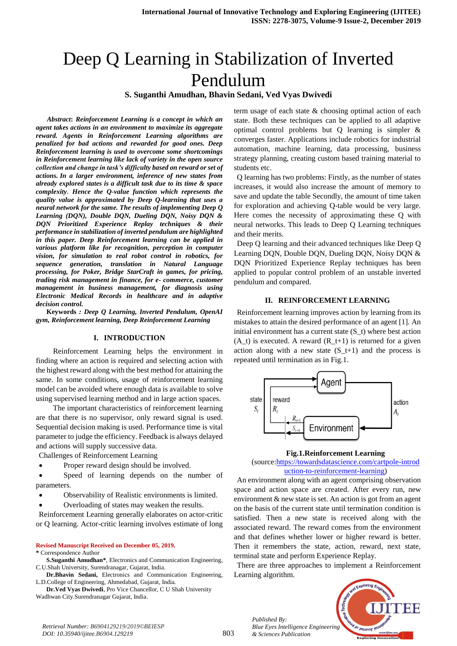# Deep Q Learning in Stabilization of Inverted Pendulum

**S. Suganthi Amudhan, Bhavin Sedani, Ved Vyas Dwivedi**

*Abstract***:** *Reinforcement Learning is a concept in which an agent takes actions in an environment to maximize its aggregate reward. Agents in Reinforcement Learning algorithms are penalized for bad actions and rewarded for good ones. Deep Reinforcement learning is used to overcome some shortcomings in Reinforcement learning like lack of variety in the open source collection and change in task's difficulty based on reward or set of actions. In a larger environment, inference of new states from already explored states is a difficult task due to its time & space complexity***.** *Hence the Q-value function which represents the quality value is approximated by Deep Q-learning that uses a neural network for the same. The results of implementing Deep Q Learning (DQN), Double DQN, Dueling DQN, Noisy DQN & DQN Prioritized Experience Replay techniques & their performance in stabilization of inverted pendulum are highlighted in this paper. Deep Reinforcement learning can be applied in various platform like for recognition, perception in computer vision, for simulation to real robot control in robotics, for sequence generation, translation in Natural Language processing, for Poker, Bridge StarCraft in games, for pricing, trading risk management in finance, for e- commerce, customer management in business management, for diagnosis using Electronic Medical Records in healthcare and in adaptive decision control.*

**Keywords** *: Deep Q Learning, Inverted Pendulum, OpenAI gym, Reinforcement learning, Deep Reinforcement Learning*

#### **I. INTRODUCTION**

Reinforcement Learning helps the environment in finding where an action is required and selecting action with the highest reward along with the best method for attaining the same. In some conditions, usage of reinforcement learning model can be avoided where enough data is available to solve using supervised learning method and in large action spaces.

The important characteristics of reinforcement learning are that there is no supervisor, only reward signal is used. Sequential decision making is used. Performance time is vital parameter to judge the efficiency. Feedback is always delayed and actions will supply successive data.

Challenges of Reinforcement Learning

Proper reward design should be involved.

 Speed of learning depends on the number of parameters.

- Observability of Realistic environments is limited.
- Overloading of states may weaken the results.

Reinforcement Learning generally elaborates on actor-critic or Q learning. Actor-critic learning involves estimate of long

#### **Revised Manuscript Received on December 05, 2019.**

**\*** Correspondence Author

**S.Suganthi Amudhan\***, Electronics and Communication Engineering, C.U.Shah University, Surendranagar, Gujarat, India.

**Dr.Bhavin Sedani,** Electronics and Communication Engineering, L.D.College of Engineering, Ahmedabad, Gujarat, India.

**Dr.Ved Vyas Dwivedi**, Pro Vice Chancellor, C U Shah University Wadhwan City.Surendranagar Gujarat, India.

term usage of each state & choosing optimal action of each state. Both these techniques can be applied to all adaptive optimal control problems but Q learning is simpler & converges faster. Applications include robotics for industrial automation, machine learning, data processing, business strategy planning, creating custom based training material to students etc.

Q learning has two problems: Firstly, as the number of states increases, it would also increase the amount of memory to save and update the table Secondly, the amount of time taken for exploration and achieving Q-table would be very large. Here comes the necessity of approximating these Q with neural networks. This leads to Deep Q Learning techniques and their merits.

Deep Q learning and their advanced techniques like Deep Q Learning DQN, Double DQN, Dueling DQN, Noisy DQN & DQN Prioritized Experience Replay techniques has been applied to popular control problem of an unstable inverted pendulum and compared.

#### **II. REINFORCEMENT LEARNING**

Reinforcement learning improves action by learning from its mistakes to attain the desired performance of an agent [1]. An initial environment has a current state (S\_t) where best action  $(A_t)$  is executed. A reward  $(R_t+1)$  is returned for a given action along with a new state  $(S_t+1)$  and the process is repeated until termination as in Fig.1.



#### **Fig.1.Reinforcement Learning**

(source[:https://towardsdatascience.com/cartpole-introd](https://towardsdatascience.com/cartpole-introduction-to-reinforcement-learning) [uction-to-reinforcement-learning\)](https://towardsdatascience.com/cartpole-introduction-to-reinforcement-learning)

An environment along with an agent comprising observation space and action space are created. After every run, new environment & new state is set. An action is got from an agent on the basis of the current state until termination condition is satisfied. Then a new state is received along with the associated reward. The reward comes from the environment and that defines whether lower or higher reward is better. Then it remembers the state, action, reward, next state, terminal state and perform Experience Replay.

There are three approaches to implement a Reinforcement Learning algorithm.



*Retrieval Number: B6904129219/2019©BEIESP DOI: 10.35940/ijitee.B6904.129219*

*Published By:*

*& Sciences Publication*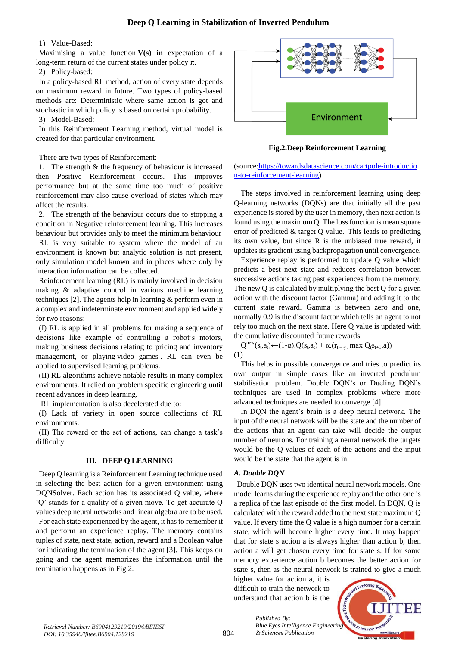# **Deep Q Learning in Stabilization of Inverted Pendulum**

#### 1) Value-Based:

Maximising a value function  $V(s)$  in expectation of a long-term return of the current states under policy **π**.

2) Policy-based:

In a policy-based RL method, action of every state depends on maximum reward in future. Two types of policy-based methods are: Deterministic where same action is got and stochastic in which policy is based on certain probability.

3) Model-Based:

In this Reinforcement Learning method, virtual model is created for that particular environment.

There are two types of Reinforcement:

1. The strength & the frequency of behaviour is increased then Positive Reinforcement occurs. This improves performance but at the same time too much of positive reinforcement may also cause overload of states which may affect the results.

2. The strength of the behaviour occurs due to stopping a condition in Negative reinforcement learning. This increases behaviour but provides only to meet the minimum behaviour

RL is very suitable to system where the model of an environment is known but analytic solution is not present, only simulation model known and in places where only by interaction information can be collected.

Reinforcement learning (RL) is mainly involved in decision making & adaptive control in various machine learning techniques [2]. The agents help in learning & perform even in a complex and indeterminate environment and applied widely for two reasons:

(I) RL is applied in all problems for making a sequence of decisions like example of controlling a robot's motors, making business decisions relating to pricing and inventory management, or playing [video games](https://gym.openai.com/envs#atari) . RL can even be applied to supervised learning problems.

(II) RL algorithms achieve notable results in many complex environments. It relied on problem specific engineering until recent advances in deep learning.

RL implementation is also decelerated due to:

(I) Lack of variety in open source collections of RL environments.

(II) The reward or the set of actions, can change a task's difficulty.

## **III. DEEP Q LEARNING**

Deep Q learning is a Reinforcement Learning technique used in selecting the best action for a given environment using DQNSolver. Each action has its associated Q value, where 'Q' stands for a quality of a given move. To get accurate Q values deep neural networks and linear algebra are to be used.

For each state experienced by the agent, it has to remember it and perform an experience replay. The memory contains tuples of state, next state, action, reward and a Boolean value for indicating the termination of the agent [3]. This keeps on going and the agent memorizes the information until the termination happens as in Fig.2.



**Fig.2.Deep Reinforcement Learning**

(source[:https://towardsdatascience.com/cartpole-introductio](https://towardsdatascience.com/cartpole-introduction-to-reinforcement-learning) [n-to-reinforcement-learning\)](https://towardsdatascience.com/cartpole-introduction-to-reinforcement-learning)

The steps involved in reinforcement learning using deep Q-learning networks (DQNs) are that initially all the past experience is stored by the user in memory, then next action is found using the maximum Q. The loss function is mean square error of predicted & target Q value. This leads to predicting its own value, but since R is the unbiased true reward, it updates its gradient using backpropagation until convergence.

Experience replay is performed to update Q value which predicts a best next state and reduces correlation between successive actions taking past experiences from the memory. The new Q is calculated by multiplying the best Q for a given action with the discount factor (Gamma) and adding it to the current state reward. Gamma is between zero and one, normally 0.9 is the discount factor which tells an agent to not rely too much on the next state. Here Q value is updated with the cumulative discounted future rewards.

 $Q<sup>new</sup>(s<sub>t</sub>,a<sub>t</sub>) \leftarrow (1-\alpha) . Q(s<sub>t</sub>,a<sub>t</sub>) + \alpha.(r<sub>t+\gamma</sub> \max Q(s<sub>t+1</sub>,a))$ (1)

This helps in possible convergence and tries to predict its own output in simple cases like an inverted pendulum stabilisation problem. Double DON's or Dueling DON's techniques are used in complex problems where more advanced techniques are needed to converge [4].

In DQN the agent's brain is a deep neural network. The input of the neural network will be the state and the number of the actions that an agent can take will decide the output number of neurons. For training a neural network the targets would be the Q values of each of the actions and the input would be the state that the agent is in.

# *A. Double DQN*

Double DQN uses two identical neural network models. One model learns during the experience replay and the other one is a replica of the last episode of the first model. In DQN, Q is calculated with the reward added to the next state maximum Q value. If every time the Q value is a high number for a certain state, which will become higher every time. It may happen that for state s action a is always higher than action b, then action a will get chosen every time for state s. If for some memory experience action b becomes the better action for state s, then as the neural network is trained to give a much

higher value for action a, it is difficult to train the network to understand that action b is the

*& Sciences Publication* 

*Published By:*

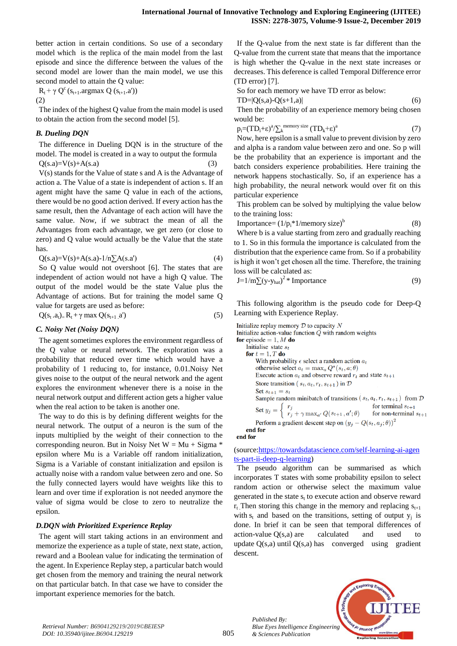better action in certain conditions. So use of a secondary model which is the replica of the main model from the last episode and since the difference between the values of the second model are lower than the main model, we use this second model to attain the Q value:

 $R_t + \gamma Q^c(s_{t+1}.\text{argmax } Q(s_{t+1}.a'))$ 

(2)

The index of the highest Q value from the main model is used to obtain the action from the second model [5].

## *B. Dueling DQN*

The difference in Dueling DQN is in the structure of the model. The model is created in a way to output the formula  $Q(s.a)=V(s)+A(s.a)$  (3)

V(s) stands for the Value of state s and A is the Advantage of action a. The Value of a state is independent of action s. If an agent might have the same Q value in each of the actions, there would be no good action derived. If every action has the same result, then the Advantage of each action will have the same value. Now, if we subtract the mean of all the Advantages from each advantage, we get zero (or close to zero) and Q value would actually be the Value that the state has.

$$
Q(s.a)=V(s)+A(s.a)-1/n\sum A(s.a')
$$
 (4)

So Q value would not overshoot [6]. The states that are independent of action would not have a high Q value. The output of the model would be the state Value plus the Advantage of actions. But for training the model same Q value for targets are used as before:

$$
Q(s_t.a_t)_=R_t+\gamma \max Q(s_{t+1}.a')
$$
\n(5)

## *C. Noisy Net (Noisy DQN)*

The agent sometimes explores the environment regardless of the Q value or neural network. The exploration was a probability that reduced over time which would have a probability of 1 reducing to, for instance, 0.01.Noisy Net gives noise to the output of the neural network and the agent explores the environment whenever there is a noise in the neural network output and different action gets a higher value when the real action to be taken is another one.

The way to do this is by defining different weights for the neural network. The output of a neuron is the sum of the inputs multiplied by the weight of their connection to the corresponding neuron. But in Noisy Net  $W = Mu + Sigma *$ epsilon where Mu is a Variable off random initialization, Sigma is a Variable of constant initialization and epsilon is actually noise with a random value between zero and one. So the fully connected layers would have weights like this to learn and over time if exploration is not needed anymore the value of sigma would be close to zero to neutralize the epsilon.

# *D.DQN with Prioritized Experience Replay*

The agent will start taking actions in an environment and memorize the experience as a tuple of state, next state, action, reward and a Boolean value for indicating the termination of the agent. In Experience Replay step, a particular batch would get chosen from the memory and training the neural network on that particular batch. In that case we have to consider the important experience memories for the batch.

If the Q-value from the next state is far different than the Q-value from the current state that means that the importance is high whether the Q-value in the next state increases or decreases. This deference is called Temporal Difference error (TD error) [7].

So for each memory we have TD error as below:

$$
TD = |Q(s,a) - Q(s+1,a)| \tag{6}
$$

Then the probability of an experience memory being chosen would be:

$$
p_i = (TD_i + \epsilon)^a / \sum_k^{\text{memory size}} (TD_k + \epsilon)^a \tag{7}
$$

Now, here epsilon is a small value to prevent division by zero and alpha is a random value between zero and one. So p will be the probability that an experience is important and the batch considers experience probabilities. Here training the network happens stochastically. So, if an experience has a high probability, the neural network would over fit on this particular experience

This problem can be solved by multiplying the value below to the training loss:

$$
Importance = (1/p_i * 1/memory size)^b
$$
 (8)

Where b is a value starting from zero and gradually reaching to 1. So in this formula the importance is calculated from the distribution that the experience came from. So if a probability is high it won't get chosen all the time. Therefore, the training loss will be calculated as:

$$
J=1/m\sum(y-y_{hat})^2 * \text{Importance}
$$
 (9)

This following algorithm is the pseudo code for Deep-Q Learning with Experience Replay.

```
Initialize replay memory D to capacity NInitialize action-value function Q with random weights
for episode = 1, M do
    Initialise state s_tfor t = 1, T do
        With probability \epsilon select a random action a_totherwise select a_t = \max_a Q^*(s_t, a; \theta)Execute action a_t and observe reward r_t and state s_{t+1}Store transition (s_t, a_t, r_t, s_{t+1}) in DSet s_{t+1} = s_tSample random minibatch of transitions (s_t, a_t, r_t, s_{t+1}) from DSet y_j = \begin{cases} r_j \\ r_j + \gamma \max_{a'} Q(s_{t+1}, a'; \theta) \end{cases}for terminal s_{t+1}for non-terminal s_{t+1}Perform a gradient descent step on (y_j - Q(s_t, a_j; \theta))^2end for
```
end for

## (source[:https://towardsdatascience.com/self-learning-ai-agen](https://towardsdatascience.com/self-learning-ai-agents-part-ii-deep-q-learning) [ts-part-ii-deep-q-learning\)](https://towardsdatascience.com/self-learning-ai-agents-part-ii-deep-q-learning)

The pseudo algorithm can be summarised as which incorporates T states with some probability epsilon to select random action or otherwise select the maximum value generated in the state  $s_t$  to execute action and observe reward  $r_t$  Then storing this change in the memory and replacing  $s_{t+1}$ with  $s_t$  and based on the transitions, setting of output  $y_i$  is done. In brief it can be seen that temporal differences of action-value Q(s,a) are calculated and used to update  $Q(s,a)$  until  $Q(s,a)$  has converged using gradient descent.

*Published By: Blue Eyes Intelligence Engineering & Sciences Publication* 

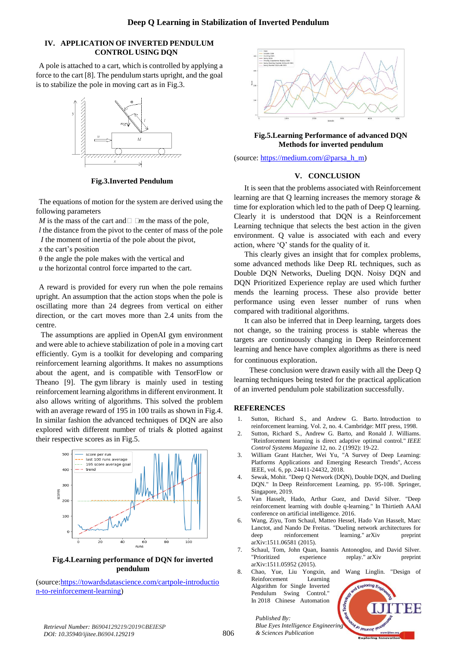## **IV. APPLICATION OF INVERTED PENDULUM CONTROL USING DQN**

A pole is attached to a cart, which is controlled by applying a force to the cart [8]. The pendulum starts upright, and the goal is to stabilize the pole in moving cart as in Fig.3.



**Fig.3.Inverted Pendulum** 

The equations of motion for the system are derived using the following parameters

*M* is the mass of the cart and  $\Box$   $\Box$ *m* the mass of the pole,

*l* the distance from the pivot to the center of mass of the pole *I* the moment of inertia of the pole about the pivot,

*x* the cart's position

 $\theta$  the angle the pole makes with the vertical and

*u* the horizontal control force imparted to the cart.

A reward is provided for every run when the pole remains upright. An assumption that the action stops when the pole is oscillating more than 24 degrees from vertical on either direction, or the cart moves more than 2.4 units from the centre.

The assumptions are applied in OpenAI gym environment and were able to achieve stabilization of pole in a moving cart efficiently. Gym is a toolkit for developing and comparing reinforcement learning algorithms. It makes no assumptions about the agent, and is compatible with TensorFlow or Theano [9]. The [gym](https://github.com/openai/gym) library is mainly used in testing reinforcement learning algorithms in different environment. It also allows writing of algorithms. This solved the problem with an average reward of 195 in 100 trails as shown in Fig.4. In similar fashion the advanced techniques of DQN are also explored with different number of trials & plotted against their respective scores as in Fig.5.



**Fig.4.Learning performance of DQN for inverted pendulum**

(source[:https://towardsdatascience.com/cartpole-introductio](https://towardsdatascience.com/cartpole-introduction-to-reinforcement-learning) [n-to-reinforcement-learning\)](https://towardsdatascience.com/cartpole-introduction-to-reinforcement-learning)



**Fig.5.Learning Performance of advanced DQN Methods for inverted pendulum** 

(source: [https://medium.com/@parsa\\_h\\_m\)](https://medium.com/@parsa_h_m)

## **V. CONCLUSION**

It is seen that the problems associated with Reinforcement learning are that Q learning increases the memory storage & time for exploration which led to the path of Deep Q learning. Clearly it is understood that DQN is a Reinforcement Learning technique that selects the best action in the given environment. Q value is associated with each and every action, where 'Q' stands for the quality of it.

This clearly gives an insight that for complex problems, some advanced methods like Deep RL techniques, such as Double DQN Networks, Dueling DQN. Noisy DQN and DQN Prioritized Experience replay are used which further mends the learning process. These also provide better performance using even lesser number of runs when compared with traditional algorithms.

It can also be inferred that in Deep learning, targets does not change, so the training process is stable whereas the targets are continuously changing in Deep Reinforcement learning and hence have complex algorithms as there is need for continuous exploration.

These conclusion were drawn easily with all the Deep Q learning techniques being tested for the practical application of an inverted pendulum pole stabilization successfully.

## **REFERENCES**

- 1. Sutton, Richard S., and Andrew G. Barto. Introduction to reinforcement learning. Vol. 2, no. 4. Cambridge: MIT press, 1998.
- 2. Sutton, Richard S., Andrew G. Barto, and Ronald J. Williams. "Reinforcement learning is direct adaptive optimal control." *IEEE Control Systems Magazine* 12, no. 2 (1992): 19-22.
- 3. William Grant Hatcher, Wei Yu, "A Survey of Deep Learning: Platforms Applications and Emerging Research Trends", Access IEEE, vol. 6, pp. 24411-24432, 2018.
- 4. Sewak, Mohit. "Deep Q Network (DQN), Double DQN, and Dueling DQN." In Deep Reinforcement Learning, pp. 95-108. Springer, Singapore, 2019.
- 5. Van Hasselt, Hado, Arthur Guez, and David Silver. "Deep reinforcement learning with double q-learning." In Thirtieth AAAI conference on artificial intelligence. 2016.
- 6. Wang, Ziyu, Tom Schaul, Matteo Hessel, Hado Van Hasselt, Marc Lanctot, and Nando De Freitas. "Dueling network architectures for deep reinforcement learning." arXiv preprint arXiv:1511.06581 (2015).
- 7. Schaul, Tom, John Quan, Ioannis Antonoglou, and David Silver. "Prioritized experience replay." arXiv preprint arXiv:1511.05952 (2015).
- 8. Chao, Yue, Liu Yongxin, and Wang Linglin. "Design of Reinforcement Learning Algorithm for Single Inverted Pendulum Swing Control." In 2018 Chinese Automation

*Published By: Blue Eyes Intelligence Engineering & Sciences Publication*